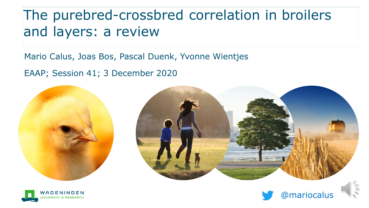### The purebred-crossbred correlation in broilers and layers: a review

Mario Calus, Joas Bos, Pascal Duenk, Yvonne Wientjes

EAAP; Session 41; 3 December 2020







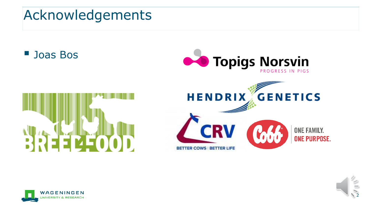



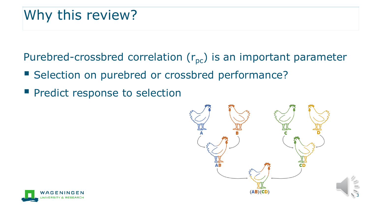### Why this review?

Purebred-crossbred correlation  $(r_{pc})$  is an important parameter

- Selection on purebred or crossbred performance?
- **Pedict response to selection**



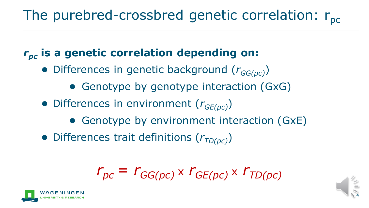# The purebred-crossbred genetic correlation:  $r_{\text{nc}}$

#### *rpc* **is a genetic correlation depending on:**

- Differences in genetic background (*rGG(pc)*)
	- Genotype by genotype interaction (GxG)
- Differences in environment (*rGE(pc)*)
	- Genotype by environment interaction (GxE)
- Differences trait definitions ( $r$ <sub>*TD(pc)*</sub>)

$$
r_{pc} = r_{GG(pc)} \times r_{GE(pc)} \times r_{TD(pc)}
$$



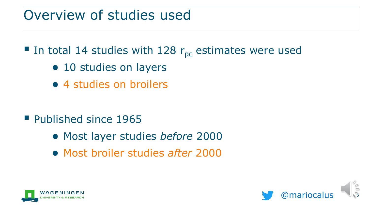### Overview of studies used

■ In total 14 studies with 128  $r_{pc}$  estimates were used

- 10 studies on layers
- 4 studies on broilers

- Published since 1965
	- Most layer studies *before* 2000
	- Most broiler studies *after* 2000



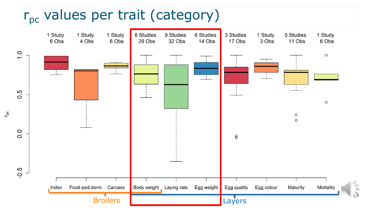## $r_{\text{pc}}$  values per trait (category)

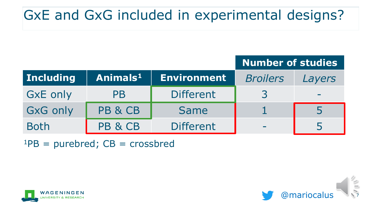## GxE and GxG included in experimental designs?

|                  |                      |                    | <b>Number of studies</b> |        |
|------------------|----------------------|--------------------|--------------------------|--------|
| <b>Including</b> | Animals <sup>1</sup> | <b>Environment</b> | <b>Broilers</b>          | Layers |
| <b>GxE only</b>  | PB                   | <b>Different</b>   | 3                        |        |
| <b>GxG only</b>  | PB & CB              | <b>Same</b>        |                          | 5      |
| <b>Both</b>      | PB & CB              | <b>Different</b>   | <b>COL</b>               | 5      |

 $1PB = purebred$ ;  $CB = crossbred$ 



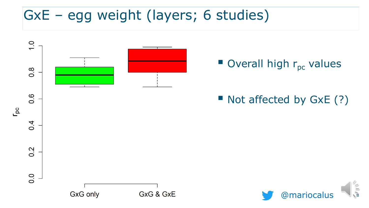## GxE – egg weight (layers; 6 studies)



### $\blacksquare$  Overall high  $r_{\text{pc}}$  values

#### ■ Not affected by GxE (?)

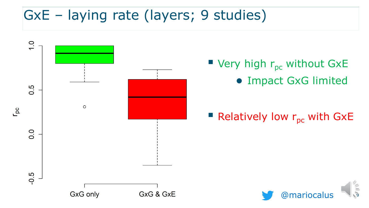## GxE – laying rate (layers; 9 studies)



**U** Very high  $r_{pc}$  without GxE ● Impact GxG limited

### Relatively low  $r_{\text{pc}}$  with GxE

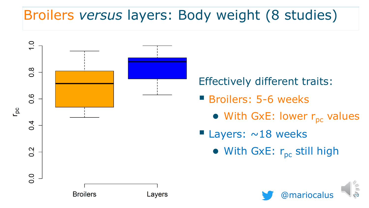# Broilers *versus* layers: Body weight (8 studies)



Effectively different traits:

- **E** Broilers: 5-6 weeks
	- $\bullet$  With GxE: lower  $r_{\text{pc}}$  values
- **E** Layers:  $\sim$  18 weeks
	- $\bullet$  With GxE:  $r_{\text{pc}}$  still high

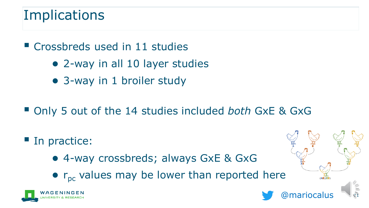### **Implications**

■ Crossbreds used in 11 studies

- 2-way in all 10 layer studies
- 3-way in 1 broiler study
- Only 5 out of the 14 studies included *both* GxE & GxG
- In practice:
	- 4-way crossbreds; always GxE & GxG
	- $\bullet$  r<sub>pc</sub> values may be lower than reported here

@mariocalus <sup>11</sup>